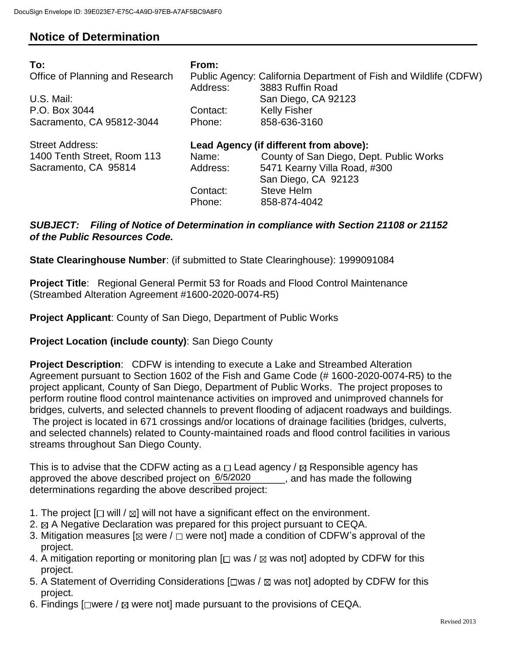## **Notice of Determination**

| To:<br>Office of Planning and Research<br>U.S. Mail:<br>P.O. Box 3044<br>Sacramento, CA 95812-3044 | From:<br>Address:<br>Contact:<br>Phone: | Public Agency: California Department of Fish and Wildlife (CDFW)<br>3883 Ruffin Road<br>San Diego, CA 92123<br><b>Kelly Fisher</b><br>858-636-3160                     |
|----------------------------------------------------------------------------------------------------|-----------------------------------------|------------------------------------------------------------------------------------------------------------------------------------------------------------------------|
| <b>Street Address:</b><br>1400 Tenth Street, Room 113<br>Sacramento, CA 95814                      | Name:<br>Address:<br>Contact:<br>Phone: | Lead Agency (if different from above):<br>County of San Diego, Dept. Public Works<br>5471 Kearny Villa Road, #300<br>San Diego, CA 92123<br>Steve Helm<br>858-874-4042 |

## *SUBJECT: Filing of Notice of Determination in compliance with Section 21108 or 21152 of the Public Resources Code.*

**State Clearinghouse Number**: (if submitted to State Clearinghouse): 1999091084

**Project Title**: Regional General Permit 53 for Roads and Flood Control Maintenance (Streambed Alteration Agreement #1600-2020-0074-R5)

**Project Applicant**: County of San Diego, Department of Public Works

## **Project Location (include county)**: San Diego County

**Project Description**: CDFW is intending to execute a Lake and Streambed Alteration Agreement pursuant to Section 1602 of the Fish and Game Code (# 1600-2020-0074-R5) to the project applicant, County of San Diego, Department of Public Works. The project proposes to perform routine flood control maintenance activities on improved and unimproved channels for bridges, culverts, and selected channels to prevent flooding of adjacent roadways and buildings. The project is located in 671 crossings and/or locations of drainage facilities (bridges, culverts, and selected channels) related to County-maintained roads and flood control facilities in various streams throughout San Diego County.

This is to advise that the CDFW acting as a  $\Box$  Lead agency /  $\boxtimes$  Responsible agency has approved the above described project on  $6/5/2020$ , and has made the following determinations regarding the above described project:

- 1. The project  $[\Box$  will  $/\boxtimes]$  will not have a significant effect on the environment.
- 2.  $\boxtimes$  A Negative Declaration was prepared for this project pursuant to CEQA.
- 3. Mitigation measures [ $\boxtimes$  were /  $\Box$  were not] made a condition of CDFW's approval of the project.
- 4. A mitigation reporting or monitoring plan  $[\Box$  was /  $\boxtimes$  was not] adopted by CDFW for this project.
- 5. A Statement of Overriding Considerations  $[\Box$ was /  $\boxtimes$  was not] adopted by CDFW for this project.
- 6. Findings  $\Box$  were /  $\boxtimes$  were not] made pursuant to the provisions of CEQA.